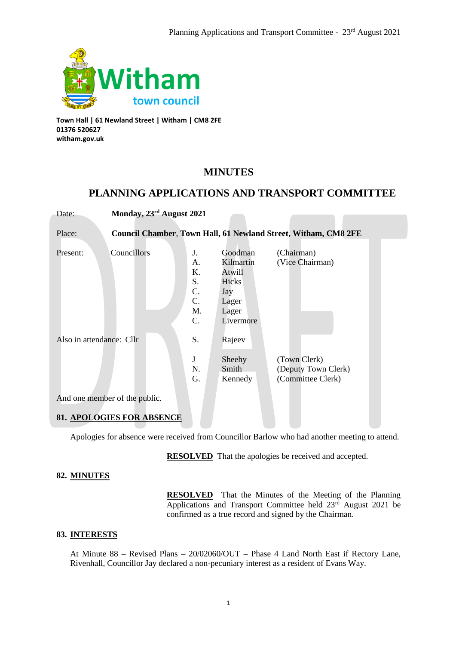

**Town Hall | 61 Newland Street | Witham | CM8 2FE 01376 520627 witham.gov.uk**

# **MINUTES**

# **PLANNING APPLICATIONS AND TRANSPORT COMMITTEE**

| Date:                            | Monday, 23rd August 2021 |                                              |                                                                               |                                                                |  |  |
|----------------------------------|--------------------------|----------------------------------------------|-------------------------------------------------------------------------------|----------------------------------------------------------------|--|--|
|                                  |                          |                                              |                                                                               |                                                                |  |  |
| Place:                           |                          |                                              |                                                                               | Council Chamber, Town Hall, 61 Newland Street, Witham, CM8 2FE |  |  |
| Present:                         | Councillors              | J.<br>A.<br>K.<br>S.<br>C.<br>C.<br>M.<br>C. | Goodman<br>Kilmartin<br>Atwill<br>Hicks<br>Jay<br>Lager<br>Lager<br>Livermore | (Chairman)<br>(Vice Chairman)                                  |  |  |
| Also in attendance: Cllr         |                          | S.                                           | Rajeev                                                                        |                                                                |  |  |
|                                  |                          | J<br>N.<br>G.                                | Sheehy<br>Smith<br>Kennedy                                                    | (Town Clerk)<br>(Deputy Town Clerk)<br>(Committee Clerk)       |  |  |
| And one member of the public.    |                          |                                              |                                                                               |                                                                |  |  |
| <b>81. APOLOGIES FOR ABSENCE</b> |                          |                                              |                                                                               |                                                                |  |  |

Apologies for absence were received from Councillor Barlow who had another meeting to attend.

**RESOLVED** That the apologies be received and accepted.

# **82. MINUTES**

**RESOLVED** That the Minutes of the Meeting of the Planning Applications and Transport Committee held 23<sup>rd</sup> August 2021 be confirmed as a true record and signed by the Chairman.

# **83. INTERESTS**

At Minute 88 – Revised Plans – 20/02060/OUT – Phase 4 Land North East if Rectory Lane, Rivenhall, Councillor Jay declared a non-pecuniary interest as a resident of Evans Way.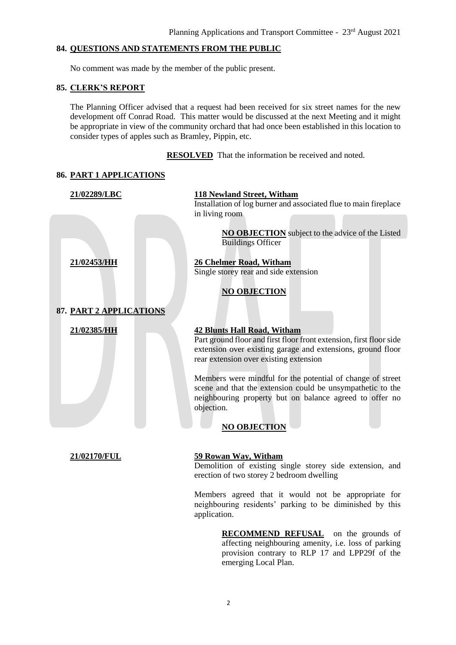# **84. QUESTIONS AND STATEMENTS FROM THE PUBLIC**

No comment was made by the member of the public present.

#### **85. CLERK'S REPORT**

**86. PART 1 APPLICATIONS** 

The Planning Officer advised that a request had been received for six street names for the new development off Conrad Road. This matter would be discussed at the next Meeting and it might be appropriate in view of the community orchard that had once been established in this location to consider types of apples such as Bramley, Pippin, etc.

### **RESOLVED** That the information be received and noted.

| 00. <u>I ANI I AH LILLA HUND</u> |                                                                                                                                                                                                                                                                                                                                                                                                                                                |  |  |  |  |
|----------------------------------|------------------------------------------------------------------------------------------------------------------------------------------------------------------------------------------------------------------------------------------------------------------------------------------------------------------------------------------------------------------------------------------------------------------------------------------------|--|--|--|--|
| 21/02289/LBC                     | <b>118 Newland Street, Witham</b>                                                                                                                                                                                                                                                                                                                                                                                                              |  |  |  |  |
|                                  | Installation of log burner and associated flue to main fireplace<br>in living room<br><b>NO OBJECTION</b> subject to the advice of the Listed<br><b>Buildings Officer</b>                                                                                                                                                                                                                                                                      |  |  |  |  |
| 21/02453/HH                      | 26 Chelmer Road, Witham<br>Single storey rear and side extension<br><b>NO OBJECTION</b>                                                                                                                                                                                                                                                                                                                                                        |  |  |  |  |
| 87. PART 2 APPLICATIONS          |                                                                                                                                                                                                                                                                                                                                                                                                                                                |  |  |  |  |
| 21/02385/HH                      | <b>42 Blunts Hall Road, Witham</b><br>Part ground floor and first floor front extension, first floor side<br>extension over existing garage and extensions, ground floor<br>rear extension over existing extension<br>Members were mindful for the potential of change of street<br>scene and that the extension could be unsympathetic to the<br>neighbouring property but on balance agreed to offer no<br>objection.<br><b>NO OBJECTION</b> |  |  |  |  |
| 21/02170/FUL                     | 59 Rowan Way, Witham<br>Demolition of existing single storey side extension, and<br>erection of two storey 2 bedroom dwelling                                                                                                                                                                                                                                                                                                                  |  |  |  |  |
|                                  | Members agreed that it would not be appropriate for<br>neighbouring residents' parking to be diminished by this<br>application.                                                                                                                                                                                                                                                                                                                |  |  |  |  |

**RECOMMEND REFUSAL** on the grounds of affecting neighbouring amenity, i.e. loss of parking provision contrary to RLP 17 and LPP29f of the emerging Local Plan.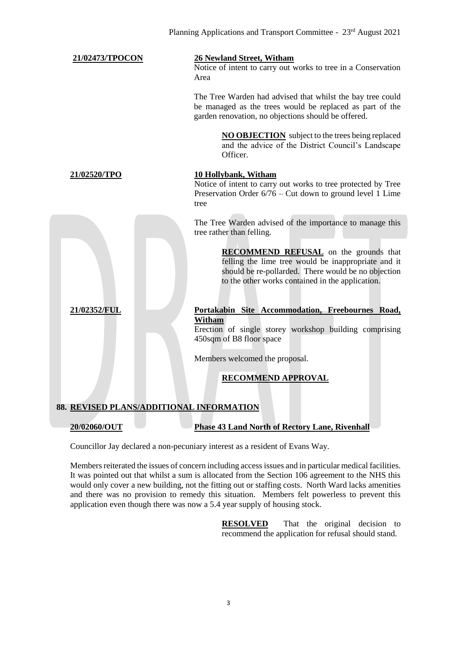| 21/02473/TPOCON                          | 26 Newland Street, Witham<br>Notice of intent to carry out works to tree in a Conservation<br>Area                                                                                                             |  |  |  |
|------------------------------------------|----------------------------------------------------------------------------------------------------------------------------------------------------------------------------------------------------------------|--|--|--|
|                                          | The Tree Warden had advised that whilst the bay tree could<br>be managed as the trees would be replaced as part of the<br>garden renovation, no objections should be offered.                                  |  |  |  |
|                                          | <b>NO OBJECTION</b> subject to the trees being replaced<br>and the advice of the District Council's Landscape<br>Officer.                                                                                      |  |  |  |
| 21/02520/TPO                             | 10 Hollybank, Witham<br>Notice of intent to carry out works to tree protected by Tree<br>Preservation Order $6/76$ – Cut down to ground level 1 Lime<br>tree                                                   |  |  |  |
|                                          | The Tree Warden advised of the importance to manage this<br>tree rather than felling.                                                                                                                          |  |  |  |
|                                          | <b>RECOMMEND REFUSAL</b> on the grounds that<br>felling the lime tree would be inappropriate and it<br>should be re-pollarded. There would be no objection<br>to the other works contained in the application. |  |  |  |
| 21/02352/FUL                             | Portakabin Site Accommodation, Freebournes Road,                                                                                                                                                               |  |  |  |
|                                          | Witham<br>Erection of single storey workshop building comprising<br>450sqm of B8 floor space                                                                                                                   |  |  |  |
|                                          | Members welcomed the proposal.                                                                                                                                                                                 |  |  |  |
|                                          | <b>RECOMMEND APPROVAL</b>                                                                                                                                                                                      |  |  |  |
| 88. REVISED PLANS/ADDITIONAL INFORMATION |                                                                                                                                                                                                                |  |  |  |
| 20/02060/OUT                             | <b>Phase 43 Land North of Rectory Lane, Rivenhall</b>                                                                                                                                                          |  |  |  |

Councillor Jay declared a non-pecuniary interest as a resident of Evans Way.

Members reiterated the issues of concern including access issues and in particular medical facilities. It was pointed out that whilst a sum is allocated from the Section 106 agreement to the NHS this would only cover a new building, not the fitting out or staffing costs. North Ward lacks amenities and there was no provision to remedy this situation. Members felt powerless to prevent this application even though there was now a 5.4 year supply of housing stock.

> **RESOLVED** That the original decision to recommend the application for refusal should stand.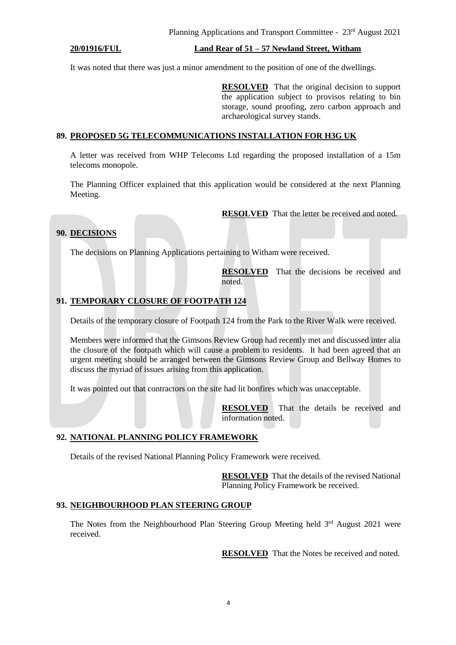#### **20/01916/FUL Land Rear of 51 – 57 Newland Street, Witham**

It was noted that there was just a minor amendment to the position of one of the dwellings.

**RESOLVED** That the original decision to support the application subject to provisos relating to bin storage, sound proofing, zero carbon approach and archaeological survey stands.

#### **89. PROPOSED 5G TELECOMMUNICATIONS INSTALLATION FOR H3G UK**

A letter was received from WHP Telecoms Ltd regarding the proposed installation of a 15m telecoms monopole.

The Planning Officer explained that this application would be considered at the next Planning Meeting.

**RESOLVED** That the letter be received and noted.

# **90. DECISIONS**

The decisions on Planning Applications pertaining to Witham were received.

**RESOLVED** That the decisions be received and noted.

# **91. TEMPORARY CLOSURE OF FOOTPATH 124**

Details of the temporary closure of Footpath 124 from the Park to the River Walk were received.

Members were informed that the Gimsons Review Group had recently met and discussed inter alia the closure of the footpath which will cause a problem to residents. It had been agreed that an urgent meeting should be arranged between the Gimsons Review Group and Bellway Homes to discuss the myriad of issues arising from this application.

It was pointed out that contractors on the site had lit bonfires which was unacceptable.

**RESOLVED** That the details be received and information noted.

### **92. NATIONAL PLANNING POLICY FRAMEWORK**

Details of the revised National Planning Policy Framework were received.

**RESOLVED** That the details of the revised National Planning Policy Framework be received.

#### **93. NEIGHBOURHOOD PLAN STEERING GROUP**

The Notes from the Neighbourhood Plan Steering Group Meeting held  $3<sup>rd</sup>$  August 2021 were received.

**RESOLVED** That the Notes be received and noted.